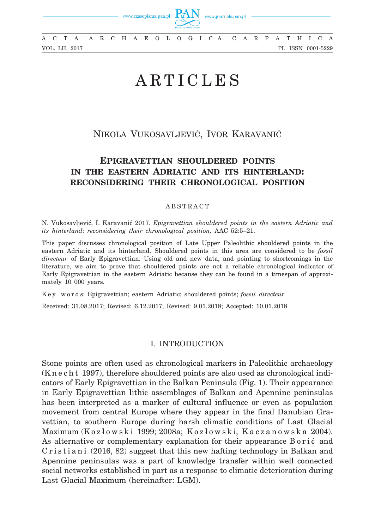

A A R C H A E O L O G I C A C A R P A T H I C A A C T A A R C H A E O L O G I C A C A R P A T H I C A VOL. LII, 2017 PL ISSN 0001-5229

# ARTICLES

# Nikola Vukosavljević, Ivor Karavanić

# **Epigravettian shouldered points in the eastern Adriatic and its hinterland: reconsidering their chronological position**

## ABSTRACT

N. Vukosavljević, I. Karavanić 2017. *Epigravettian shouldered points in the eastern Adriatic and its hinterland: reconsidering their chronological position,* AAC 52:5–21.

This paper discusses chronological position of Late Upper Paleolithic shouldered points in the eastern Adriatic and its hinterland. Shouldered points in this area are considered to be *fossil directeur* of Early Epigravettian. Using old and new data, and pointing to shortcomings in the literature, we aim to prove that shouldered points are not a reliable chronological indicator of Early Epigravettian in the eastern Adriatic because they can be found in a timespan of approximately 10 000 years.

K e y w o r d s: Epigravettian; eastern Adriatic; shouldered points; *fossil directeur*

Received: 31.08.2017; Revised: 6.12.2017; Revised: 9.01.2018; Accepted: 10.01.2018

# I. Introduction

Stone points are often used as chronological markers in Paleolithic archaeology (K n e c h t 1997), therefore shouldered points are also used as chronological indicators of Early Epigravettian in the Balkan Peninsula (Fig. 1). Their appearance in Early Epigravettian lithic assemblages of Balkan and Apennine peninsulas has been interpreted as a marker of cultural influence or even as population movement from central Europe where they appear in the final Danubian Gravettian, to southern Europe during harsh climatic conditions of Last Glacial Maximum (K o z ł o w s k i 1999; 2008a; K o z ł o w s k i, K a c z a n o w s k a 2004). As alternative or complementary explanation for their appearance B o r i ć and  $C$ r i s t i a n i  $(2016, 82)$  suggest that this new hafting technology in Balkan and Apennine peninsulas was a part of knowledge transfer within well connected social networks established in part as a response to climatic deterioration during Last Glacial Maximum (hereinafter: LGM).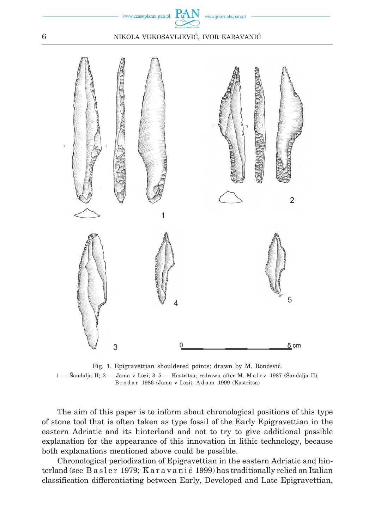

6 Nikola Vukosavljević, Ivor Karavanić



Fig. 1. Epigravettian shouldered points; drawn by M. Rončević. 1 — Šandalja II; 2 — Jama v Lozi; 3–5 — Kastritsa; redrawn after M. M a l e z 1987 (Šandalja II), B r o d a r 1986 (Jama v Lozi), A d a m 1999 (Kastritsa)

The aim of this paper is to inform about chronological positions of this type of stone tool that is often taken as type fossil of the Early Epigravettian in the eastern Adriatic and its hinterland and not to try to give additional possible explanation for the appearance of this innovation in lithic technology, because both explanations mentioned above could be possible.

Chronological periodization of Epigravettian in the eastern Adriatic and hinterland (see Basler 1979; Karavanić 1999) has traditionally relied on Italian classification differentiating between Early, Developed and Late Epigravettian,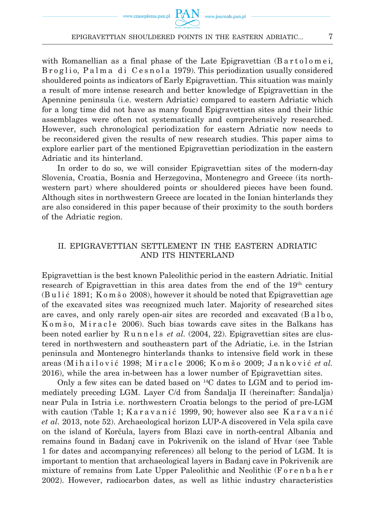#### EPIGRAVETTIAN SHOULDERED POINTS IN THE EASTERN ADRIATIC...  $7$

with Romanellian as a final phase of the Late Epigravettian  $(B$  artolomei, B r o g l i o, P a l m a d i C e s n o l a 1979). This periodization usually considered shouldered points as indicators of Early Epigravettian. This situation was mainly a result of more intense research and better knowledge of Epigravettian in the Apennine peninsula (i.e. western Adriatic) compared to eastern Adriatic which for a long time did not have as many found Epigravettian sites and their lithic assemblages were often not systematically and comprehensively researched. However, such chronological periodization for eastern Adriatic now needs to be reconsidered given the results of new research studies. This paper aims to explore earlier part of the mentioned Epigravettian periodization in the eastern Adriatic and its hinterland.

In order to do so, we will consider Epigravettian sites of the modern-day Slovenia, Croatia, Bosnia and Herzegovina, Montenegro and Greece (its northwestern part) where shouldered points or shouldered pieces have been found. Although sites in northwestern Greece are located in the Ionian hinterlands they are also considered in this paper because of their proximity to the south borders of the Adriatic region.

# II. Epigravettian settlement in the eastern Adriatic and its hinterland

Epigravettian is the best known Paleolithic period in the eastern Adriatic. Initial research of Epigravettian in this area dates from the end of the 19th century  $(Bul<sub>i</sub> 1891; K<sub>o</sub> m  $\geq 2008$ ), however it should be noted that Epigravettian age$ of the excavated sites was recognized much later. Majority of researched sites are caves, and only rarely open-air sites are recorded and excavated (B a l b o, Komšo, Miracle 2006). Such bias towards cave sites in the Balkans has been noted earlier by Runnels *et al.* (2004, 22). Epigravettian sites are clustered in northwestern and southeastern part of the Adriatic, i.e. in the Istrian peninsula and Montenegro hinterlands thanks to intensive field work in these areas (M i h a i l o v i ć 1998; M i r a c l e 2006; K o m š o 2009; J a n k o v i ć *et al.* 2016), while the area in-between has a lower number of Epigravettian sites.

Only a few sites can be dated based on  $^{14}$ C dates to LGM and to period immediately preceding LGM. Layer C/d from Šandalja II (hereinafter: Šandalja) near Pula in Istria i.e. northwestern Croatia belongs to the period of pre-LGM with caution (Table 1; Karavanić 1999, 90; however also see Karavanić *et al.* 2013, note 52). Archaeological horizon LUP-A discovered in Vela spila cave on the island of Korčula, layers from Blazi cave in north-central Albania and remains found in Badanj cave in Pokrivenik on the island of Hvar (see Table 1 for dates and accompanying references) all belong to the period of LGM. It is important to mention that archaeological layers in Badanj cave in Pokrivenik are mixture of remains from Late Upper Paleolithic and Neolithic (Forenbaher 2002). However, radiocarbon dates, as well as lithic industry characteristics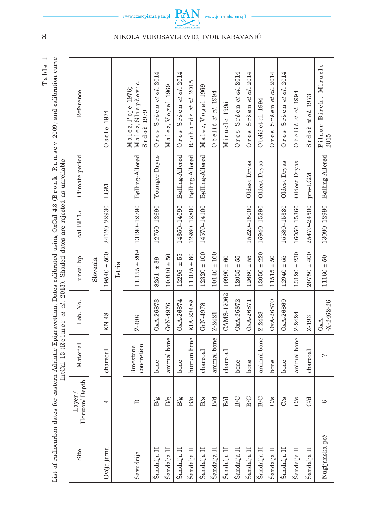| eastern Adriatic Epigravettian. Dates calibrated using OxCal 4.3 (Bronk Ramsey 2009) and calibration curve<br>⊱ | IntCal 13 (Reimer et al. 2013). Shaded dates are rejected as unreliable |
|-----------------------------------------------------------------------------------------------------------------|-------------------------------------------------------------------------|
|                                                                                                                 |                                                                         |

| Site                               | Horizon/Depth<br>$_{\rm Layer/}$ | Material                | Lab. No.                 | uncal bp                               | cal BP $1\sigma$ | Climate period  | Reference                                             |
|------------------------------------|----------------------------------|-------------------------|--------------------------|----------------------------------------|------------------|-----------------|-------------------------------------------------------|
|                                    |                                  |                         |                          | Slovenia                               |                  |                 |                                                       |
| Ovčja jama                         | 4                                | charcoal                | KN-48                    | $19540 \pm 500$                        | 24120-22930      | LGM             | 1974<br>$0$ sole                                      |
|                                    |                                  |                         |                          | Istria                                 |                  |                 |                                                       |
| Savudrija                          | ≏                                | concretion<br>limestone | Z-488                    | $11,155 \pm 209$                       | 13190-12790      | Bølling-Allerød | Malez, Sliepčević,<br>Malez, Poje 1976;<br>Srdoč 1979 |
| Šandalja II                        | ğ,                               | bone                    | OxA-26873                | 39<br>$\ddot{+}$<br>8251               | 12750-12690      | Younger Dryas   | et al. 2014<br>Sršen<br>Oros                          |
| Šandalja II                        | $\overline{\omega}$<br>щ         | animal bone             | GrN-4976                 | $10,830 + 50$                          |                  |                 | Malez, Vogel 1969                                     |
| Šandalja II                        | $\frac{8}{3}$                    | bone                    | OxA-26874                | 55<br>$\ddot{}$<br>12295               | 14350-14090      | Bølling-Allerød | Sršen et al. 2014<br>Oros                             |
| Šandalja II                        | B/s                              | human bone              | KIA-23489                | $11025 \pm 60$                         | 12980-12800      | Bølling-Allerød | al. 2015<br>et<br>Richards                            |
| Šandalja II                        | B/s                              | charcoal                | GrN-4978                 | $12320 \pm 100$                        | 14570-14100      | Bølling-Allerød | Malez, Vogel 1969                                     |
| Šandalja II                        | B/d                              | animal bone             | Z-2421                   | $10140 \pm 160$                        |                  |                 | Obelić et al. 1994                                    |
| Šandalja II                        | B/d                              | charcoal                | CAMS-12062               | $10990 \pm 60$                         |                  |                 | Miracle 1995                                          |
| Šandalja II                        | <b>B/C</b>                       | bone                    | OxA-26872                | $12035 + 55$                           |                  |                 | $Sr\check{ }$ en et al. 2014<br>Oros                  |
| Šandalja II                        | <b>B/C</b>                       | bone                    | OxA-26871                | ±55<br>12680                           | 15220-15000      | Oldest Dryas    | al. 2014<br>$\mathfrak{e}$<br>Sršen<br>Oros           |
| Šandalja II                        | B/C                              | animal bone             | Z-2423                   | $13050 \pm 220$                        | 15940-15290      | Oldest Dryas    | Obelić et al. 1994                                    |
| Šandalja II                        | $\frac{5}{5}$                    | bone                    | OxA-26870                | $\overline{50}$<br>$\ddot{+}$<br>11515 |                  |                 | et al. 2014<br>Sršen<br>Oros                          |
| $\check{\mathrm{S}}$ andalja $\Pi$ | S<br>CS                          | bone                    | OxA-26869                | 55<br>$12940 =$                        | 15580-15330      | Oldest Dryas    | Sršen et al. 2014<br>Oros                             |
| $\check{\rm S}$ andalja $\Pi$      | $\frac{5}{5}$                    | animal bone             | Z-2424                   | $13120 \pm 230$                        | 16050-15360      | Oldest Dryas    | Obelić <i>et al.</i> 1994                             |
| Šandalja II                        | 3<br>O                           | charcoal                | Z-193                    | $20750 \pm 400$                        | 25470-24500      | pre-LGM         | Srdočetal. 1973                                       |
| Nugljanska peć                     | G                                | $\sim$                  | $-X - 2462 - 26$<br>OxA- | $11160 \pm 50$                         | 13090-12990      | Bølling-Allerød | Birch, Miracle<br>Pilaar<br>2015                      |

## 8 NIKOLA VUKOSAVLJEVIĆ, IVOR KARAVANIĆ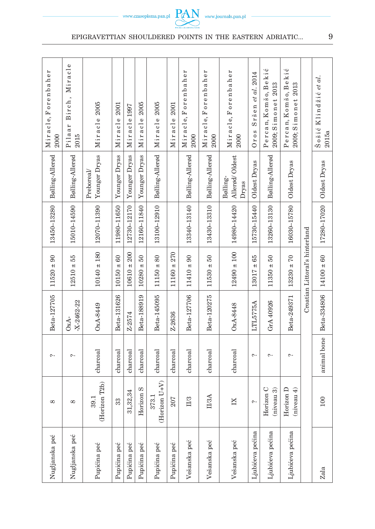| Miracle, Forenbaher<br>2000<br>Bølling-Allerød | Miracle<br>Birch,<br>Pilaar<br>2015<br>Bølling-Allerød | Miracle 2005<br>Younger Dryas<br>Preboreal/ | 2001<br>Miracle<br>Younger Dryas | Miracle1997<br>Younger Dryas | 2005<br>Miracle<br>Younger Dryas | 2005<br>Miracle<br>Bølling-Allerød | 2001<br>Miracle           | Miracle, Forenbaher<br>2000<br>Bølling-Allerød | Miracle, Forenbaher<br>2000<br>Bølling-Allerød | Miracle, Forenbaher<br>2000<br>Allerød/Oldest<br>Bølling-<br>Dryas | et al. 2014<br>Sršen<br>Oros<br>Oldest Dryas | Percan, Komšo, Bekić<br>2009; Simonet 2013<br>Bølling-Allerød | Percan, Komšo, Bekić<br>2009; Simonet 2013<br>Oldest Dryas |                                | Klindžić et al.<br>$\check{\mathbf{S}}$ o $\check{\mathbf{s}}$ i $\acute{c}$ |
|------------------------------------------------|--------------------------------------------------------|---------------------------------------------|----------------------------------|------------------------------|----------------------------------|------------------------------------|---------------------------|------------------------------------------------|------------------------------------------------|--------------------------------------------------------------------|----------------------------------------------|---------------------------------------------------------------|------------------------------------------------------------|--------------------------------|------------------------------------------------------------------------------|
|                                                |                                                        |                                             |                                  |                              |                                  |                                    |                           |                                                |                                                |                                                                    |                                              |                                                               |                                                            |                                | Oldest Dryas                                                                 |
| 13450-13280                                    | 15010-14590                                            | 12070-11390                                 | 11980-11650                      | 12730-12170                  | 12160-11840                      | 13100-12910                        |                           | 13340-13140                                    | 13430-13310                                    | 14980-14420                                                        | 15730-15440                                  | 13260-13130                                                   | 16030-15780                                                |                                | 17280-17020                                                                  |
| $11520 \pm 90$                                 | $12510 + 55$                                           | $10140 \pm 180$                             | $10150 \pm 60$                   | $10610 \pm 200$              | $50\,$<br>$10280 =$              | $11150 \pm 80$                     | 270<br>$\ddot{}$<br>11160 | $11410 \pm 90$                                 | $50\,$<br>$11530 +$                            | $12490 \pm 100$                                                    | ± 65<br>13017                                | $50\,$<br>$11350 +$                                           | $13230 + 70$                                               | Croatian Littoral's hinterland | $14100 \pm 60$                                                               |
| Beta-127705                                    | $-X - 2462 - 22$<br>OxA-                               | OxA-8449                                    | Beta-131626                      | Z-2574                       | Beta-188919                      | Beta-145095                        | Z-2636                    | Beta-127706                                    | Beta-120275                                    | OxA-8448                                                           | LTL5775A                                     | GrA40926                                                      | Beta-249371                                                |                                | Beta-334806                                                                  |
| $\sim$                                         | $\sim$                                                 | charcoal                                    | charcoal                         | charcoal                     | charcoal                         | $character$                        | charcoal                  | $char cal$                                     | charcoal                                       | $_{\rm{characteral}}$                                              | $\sim$                                       | $\sim$                                                        | $\sim$                                                     |                                | animal bone                                                                  |
| $\infty$                                       | $\infty$                                               | (Horizon T2b)<br>39.1                       | 33                               | ,32,34<br>$\overline{5}$     | Horizon <sub>S</sub>             | $(Horizon U+V)$<br>373.1           | 207                       | II/3                                           | <b>I/3A</b>                                    | N                                                                  | $\sim$                                       | Horizon C<br>(niveau 3)                                       | Horizon D<br>(nivean 4)                                    |                                | 100                                                                          |
| Nugljanska peć                                 | Nugljanska peć                                         | Pupićina peć                                | Pupićina peć                     | Pupićina peć                 | Pupićina peć                     | Pupićina peć                       | Pupićina peć              | Vešanska peć                                   | Vešanska peć                                   | Vešanska peć                                                       | Ljubićeva pećina                             | Ljubićeva pećina                                              | Ljubićeva pećina                                           |                                | Zala                                                                         |

EPIGRAVETTIAN SHOULDERED POINTS IN THE EASTERN ADRIATIC... e e



9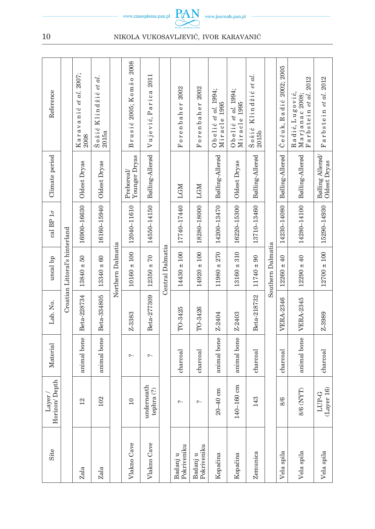|                         |                                |                                |                                       |                   | 2008                        |                          |                  |                         |                         |                                     |                                     |                                                                                     |                   |                         |                                                                |                                  |
|-------------------------|--------------------------------|--------------------------------|---------------------------------------|-------------------|-----------------------------|--------------------------|------------------|-------------------------|-------------------------|-------------------------------------|-------------------------------------|-------------------------------------------------------------------------------------|-------------------|-------------------------|----------------------------------------------------------------|----------------------------------|
| Reference               |                                | Karavanić et al. 2007;<br>2008 | Šošić Klindžić <i>et al.</i><br>2015a |                   | 2005; Komšo<br>Brusić       | Vujević, Parica 2011     |                  | 2002<br>Forenbaher      | 2002<br>Forenbaher      | Obelić et al. 1994;<br>Miracle 1995 | Obelić et al. 1994;<br>Miracle 1995 | Klindžić <i>et al</i> .<br>$\frac{\check{\mathbf{S}}\, \mathbf{o}}{2015\mathbf{b}}$ |                   | Čečuk, Radić 2002; 2005 | arbstein et al. 2012<br>Radić, Lugović,<br>Marjanac 2008;<br>匞 | Farbstein et al. 2012            |
| Climate period          |                                | Oldest Dryas                   | Oldest Dryas                          |                   | Younger Dryas<br>Preboreal/ | Bølling-Allerød          |                  | LGM                     | LGM                     | Bølling-Allerød                     | Oldest Dryas                        | Bølling-Allerød                                                                     |                   | Bølling-Allerød         | Bølling-Allerød                                                | Bølling Allerød/<br>Oldest Dryas |
| cal BP $1\sigma$        |                                | 16900-16630                    | 16160-15940                           |                   | 12040-11610                 | 14550-14150              |                  | 17740-17440             | 18280-18000             | 14200-13470                         | 16220-15300                         | 13710-13460                                                                         |                   | 14230-14080             | 14280-14100                                                    | 15290-14930                      |
| uncal bp                | Croatian Littoral's hinterland | $50\,$<br>$13840 =$            | $13340 \pm 60$                        | Northern Dalmatia | $\pm$ 100<br>10160          | $12350 + 70$             | Central Dalmatia | $14430 \pm 100$         | $14920 \pm 100$         | 270<br>$11980 \pm$                  | $13160 \pm 310$                     | $11740 \pm 90$                                                                      | Southern Dalmatia | $12260 \pm 40$          | $12290 \pm 40$                                                 | $12700 \pm 100$                  |
| Lab. No.                |                                | Beta-228734                    | Beta-334805                           |                   | Z-3383                      | Beta-277309              |                  | TO-3425                 | TO-3426                 | Z-2404                              | Z-2403                              | Beta-218732                                                                         |                   | <b>VERA-2346</b>        | VERA-2345                                                      | Z-3989                           |
| Material                |                                | animal bone                    | animal bone                           |                   | $\sim$                      | $\sim$                   |                  | $\alpha$ charcoal       | $_{\rm{characteral}}$   | animal bone                         | animal bone                         | charccal                                                                            |                   | charcoal                | animal bone                                                    | charcoal                         |
| Horizon/Depth<br>Layer/ |                                | 12                             | 102                                   |                   | $\overline{10}$             | underneath<br>tephra (?) |                  | $\sim$                  | $\sim$                  | $40 \text{ cm}$<br>$\frac{1}{20}$   | $160 \text{ cm}$<br>$140 -$         | 43                                                                                  |                   | 8/6                     | (TYT)<br>8/6                                                   | ver16<br>LUP-G<br>$\Gamma$ ay    |
| Site                    |                                | Zala                           | Zala                                  |                   | Vlakno Cave                 | Vlakno Cave              |                  | Pokriveniku<br>Badanj u | Pokriveniku<br>Badanj u | Kopačina                            | Kopačina                            | Zemunica                                                                            |                   | Vela spila              | Vela spila                                                     | Vela spila                       |

10 NIKOLA VUKOSAVLJEVIĆ, IVOR KARAVANIĆ

 $\begin{picture}(160,10) \put(0,0){\vector(1,0){100}} \put(15,0){\vector(1,0){100}} \put(15,0){\vector(1,0){100}} \put(15,0){\vector(1,0){100}} \put(15,0){\vector(1,0){100}} \put(15,0){\vector(1,0){100}} \put(15,0){\vector(1,0){100}} \put(15,0){\vector(1,0){100}} \put(15,0){\vector(1,0){100}} \put(15,0){\vector(1,0){100}} \put(15,0){\vector(1,0){100}}$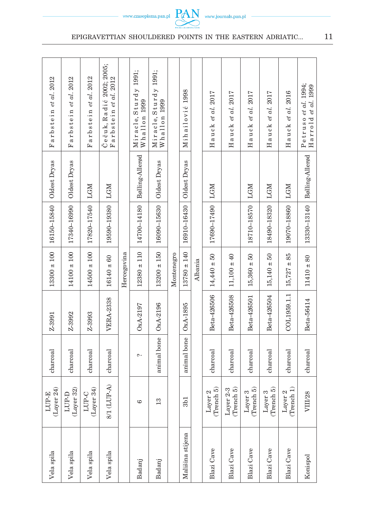| Farbstein <i>et al.</i> 2012 | Farbstein et al. 2012 | Farbstein et al. 2012 | Čečuk, Radić 2002; 2005;<br>Farbstein et al. 2012 |             | Miracle, Sturdy 1991;<br>Whallon 1999 | Miracle, Sturdy 1991;<br>Whallon 1999 |            | 1998<br>Mihailović |         | Hauck et al. 2017     | Hauck et al. 2017         | Hauck et al. 2017     | Hauck et al. 2017     | Hauck et al. 2016     | Petruso et al. 1994;<br>1999<br>Harrold et al. |
|------------------------------|-----------------------|-----------------------|---------------------------------------------------|-------------|---------------------------------------|---------------------------------------|------------|--------------------|---------|-----------------------|---------------------------|-----------------------|-----------------------|-----------------------|------------------------------------------------|
| Oldest Dryas                 | Oldest Dryas          | LGM                   | LGM                                               |             | Bølling-Allerød                       | Oldest Dryas                          |            | Oldest Dryas       |         | <b>LGM</b>            |                           | LGM                   | LGM                   | LGM                   | Bølling-Allerød                                |
| 16150-15840                  | 17340-16990           | 17820-17540           | 19590-19380                                       |             | 14700-14180                           | 16090-15630                           |            | 16910-16430        |         | 17690-17490           |                           | 18710-18570           | 18490-18320           | 19070-18860           | 13330-13140                                    |
| $13300 \pm 100$              | $14100 \pm 100$       | $14500 \pm 100$       | $16140 \pm 60$                                    | Hercegovina | $12380 \pm 110$                       | $13200 \pm 150$                       | Montenegro | $13780 \pm 140$    | Albania | $14,440 \pm 50$       | $11,100 \pm 40$           | $15,360 \pm 50$       | $15,140 \pm 50$       | $15,727 \pm 85$       | $11410 \pm 80$                                 |
| Z-3991                       | Z-3992                | Z-3993                | <b>VERA-2338</b>                                  |             | OxA-2197                              | $OxA-2196$                            |            | $OxA-1895$         |         | Beta-426506           | Beta-426508               | Beta-426501           | Beta-426504           | COL1959.1.1           | Beta-56414                                     |
| charcoal                     | charccal              | charcoal              | charcoal                                          |             | $\sim$                                | animal bone                           |            | animal bone        |         | charcoal              | $charcoal$                | charcoal              | charcoal              | charcoal              | charcoal                                       |
| rer 24)<br>LUP-E<br>(Lay)    | (Layer 32)<br>LUP-D   | (Layer 34)<br>LUP-C   | 8/1 (LUP-A)                                       |             | అ                                     | 13                                    |            | 3 <sub>b1</sub>    |         | (Thench 5)<br>Layer 2 | (Trench $5)$<br>Layer 2-3 | (Thench 5)<br>Layer 3 | (Thench 5)<br>Layer 3 | (Thench 1)<br>Layer 2 | VIII/28                                        |
| Vela spila                   | Vela spila            | Vela spila            | Vela spila                                        |             | Badanj                                | Badanj                                |            | Mališina stijena   |         | Blazi Cave            | Blazi Cave                | Blazi Cave            | Blazi Cave            | Blazi Cave            | Konispol                                       |

epigravettian shouldered points in the eastern adriatic...  $11$ e e

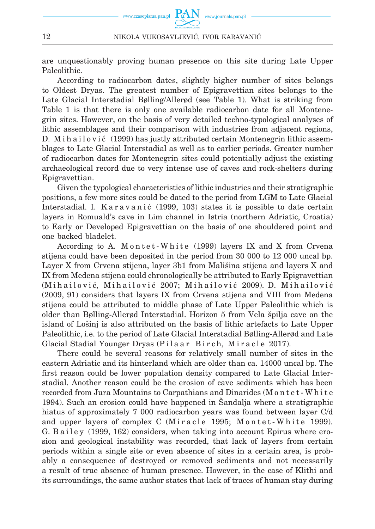are unquestionably proving human presence on this site during Late Upper Paleolithic.

According to radiocarbon dates, slightly higher number of sites belongs to Oldest Dryas. The greatest number of Epigravettian sites belongs to the Late Glacial Interstadial Bølling/Allerød (see Table 1). What is striking from Table 1 is that there is only one available radiocarbon date for all Montenegrin sites. However, on the basis of very detailed techno-typological analyses of lithic assemblages and their comparison with industries from adjacent regions, D. M i h a i l o v i ć (1999) has justly attributed certain Montenegrin lithic assemblages to Late Glacial Interstadial as well as to earlier periods. Greater number of radiocarbon dates for Montenegrin sites could potentially adjust the existing archaeological record due to very intense use of caves and rock-shelters during Epigravettian.

Given the typological characteristics of lithic industries and their stratigraphic positions, a few more sites could be dated to the period from LGM to Late Glacial Interstadial. I. Karavanić (1999, 103) states it is possible to date certain layers in Romuald's cave in Lim channel in Istria (northern Adriatic, Croatia) to Early or Developed Epigravettian on the basis of one shouldered point and one backed bladelet.

According to A. Montet-White (1999) layers IX and X from Crvena stijena could have been deposited in the period from 30 000 to 12 000 uncal bp. Layer X from Crvena stijena, layer 3b1 from Mališina stijena and layers X and IX from Medena stijena could chronologically be attributed to Early Epigravettian (Mihailović, Mihailović 2007; Mihailović 2009). D. Mihailović (2009, 91) considers that layers IX from Crvena stijena and VIII from Medena stijena could be attributed to middle phase of Late Upper Paleolithic which is older than Bølling-Allerød Interstadial. Horizon 5 from Vela špilja cave on the island of Lošinj is also attributed on the basis of lithic artefacts to Late Upper Paleolithic, i.e. to the period of Late Glacial Interstadial Bølling-Allerød and Late Glacial Stadial Younger Dryas (Pilaar Birch, Miracle 2017).

There could be several reasons for relatively small number of sites in the eastern Adriatic and its hinterland which are older than ca. 14000 uncal bp. The first reason could be lower population density compared to Late Glacial Interstadial. Another reason could be the erosion of cave sediments which has been recorded from Jura Mountains to Carpathians and Dinarides (M o n t e t - W h i t e 1994). Such an erosion could have happened in Šandalja where a stratigraphic hiatus of approximately 7 000 radiocarbon years was found between layer C/d and upper layers of complex C (Miracle 1995; Montet-White 1999). G. B a i l e y (1999, 162) considers, when taking into account Epirus where erosion and geological instability was recorded, that lack of layers from certain periods within a single site or even absence of sites in a certain area, is probably a consequence of destroyed or removed sediments and not necessarily a result of true absence of human presence. However, in the case of Klithi and its surroundings, the same author states that lack of traces of human stay during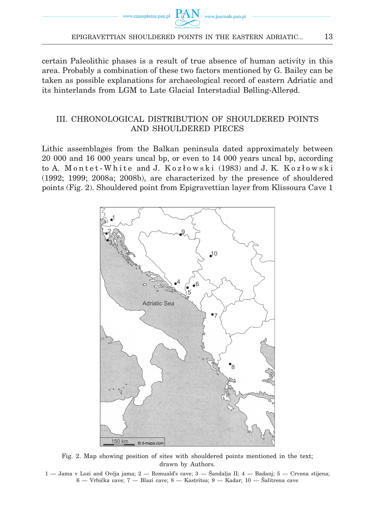certain Paleolithic phases is a result of true absence of human activity in this area. Probably a combination of these two factors mentioned by G. Bailey can be taken as possible explanations for archaeological record of eastern Adriatic and its hinterlands from LGM to Late Glacial Interstadial Bølling-Allerød.

# III. Chronological distribution of shouldered points and shouldered pieces

Lithic assemblages from the Balkan peninsula dated approximately between 20 000 and 16 000 years uncal bp, or even to 14 000 years uncal bp, according to A. Montet-White and J. Kozłowski (1983) and J. K. Kozłowski (1992; 1999; 2008a; 2008b), are characterized by the presence of shouldered points (Fig. 2). Shouldered point from Epigravettian layer from Klissoura Cave 1



Fig. 2. Map showing position of sites with shouldered points mentioned in the text; drawn by Authors.

<sup>1 —</sup> Jama v Lozi and Ovčja jama; 2 — Romuald's cave; 3 — Šandalja II; 4 — Badanj; 5 — Crvena stijena; 6 — Vrbička cave; 7 — Blazi cave; 8 — Kastritsa; 9 — Kadar; 10 — Šalitrena cave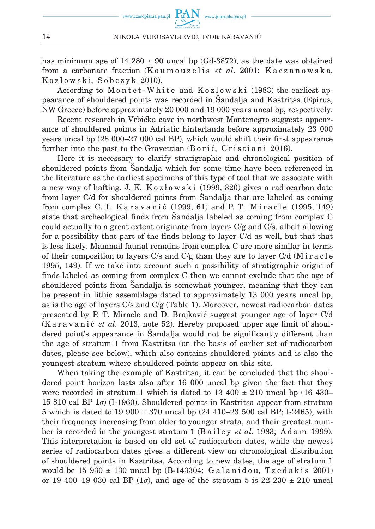has minimum age of 14 280  $\pm$  90 uncal bp (Gd-3872), as the date was obtained from a carbonate fraction (Koumouzelis *et al.* 2001; Kaczanowska,  $Kozłowski, Sobczyk 2010.$ 

According to M on tet - White and K o z lowski (1983) the earliest appearance of shouldered points was recorded in Šandalja and Kastritsa (Epirus, NW Greece) before approximately 20 000 and 19 000 years uncal bp, respectively.

Recent research in Vrbička cave in northwest Montenegro suggests appearance of shouldered points in Adriatic hinterlands before approximately 23 000 years uncal bp (28 000–27 000 cal BP), which would shift their first appearance further into the past to the Gravettian  $(B \text{ or } i \infty)$ . Cristiani 2016).

Here it is necessary to clarify stratigraphic and chronological position of shouldered points from Šandalja which for some time have been referenced in the literature as the earliest specimens of this type of tool that we associate with a new way of hafting. J. K.  $K_0 z_l w_s k_i$  (1999, 320) gives a radiocarbon date from layer C/d for shouldered points from Šandalja that are labeled as coming from complex C. I. Karavanić (1999, 61) and P. T. Miracle (1995, 149) state that archeological finds from Šandalja labeled as coming from complex C could actually to a great extent originate from layers  $C/g$  and  $C/s$ , albeit allowing for a possibility that part of the finds belong to layer C/d as well, but that that is less likely. Mammal faunal remains from complex C are more similar in terms of their composition to layers  $C/s$  and  $C/g$  than they are to layer  $C/d$  (M i r a c l e 1995, 149). If we take into account such a possibility of stratigraphic origin of finds labeled as coming from complex C then we cannot exclude that the age of shouldered points from Šandalja is somewhat younger, meaning that they can be present in lithic assemblage dated to approximately 13 000 years uncal bp, as is the age of layers  $C/s$  and  $C/g$  (Table 1). Moreover, newest radiocarbon dates presented by P. T. Miracle and D. Brajković suggest younger age of layer C/d (K a r a v a n i ć *et al.* 2013, note 52). Hereby proposed upper age limit of shouldered point's appearance in Šandalja would not be significantly different than the age of stratum 1 from Kastritsa (on the basis of earlier set of radiocarbon dates, please see below), which also contains shouldered points and is also the youngest stratum where shouldered points appear on this site.

When taking the example of Kastritsa, it can be concluded that the shouldered point horizon lasts also after 16 000 uncal bp given the fact that they were recorded in stratum 1 which is dated to 13 400  $\pm$  210 uncal bp (16 430– 15 810 cal BP 1*σ*) (I-1960). Shouldered points in Kastritsa appear from stratum 5 which is dated to 19 900  $\pm$  370 uncal bp (24 410–23 500 cal BP; I-2465), with their frequency increasing from older to younger strata, and their greatest number is recorded in the youngest stratum 1 (Bailey *et al.* 1983; Adam 1999). This interpretation is based on old set of radiocarbon dates, while the newest series of radiocarbon dates gives a different view on chronological distribution of shouldered points in Kastritsa. According to new dates, the age of stratum 1 would be  $15\,930 \pm 130$  uncal bp  $(B-143304; Galanidou, Tzedakis 2001)$ or 19 400–19 030 cal BP ( $1\sigma$ ), and age of the stratum 5 is 22 230  $\pm$  210 uncal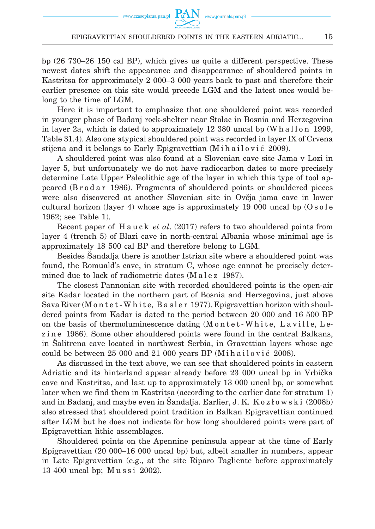bp (26 730–26 150 cal BP), which gives us quite a different perspective. These newest dates shift the appearance and disappearance of shouldered points in Kastritsa for approximately 2 000–3 000 years back to past and therefore their earlier presence on this site would precede LGM and the latest ones would belong to the time of LGM.

Here it is important to emphasize that one shouldered point was recorded in younger phase of Badanj rock-shelter near Stolac in Bosnia and Herzegovina in layer 2a, which is dated to approximately  $12\,380$  uncal bp (W h a l l on 1999, Table 31.4). Also one atypical shouldered point was recorded in layer IX of Crvena stijena and it belongs to Early Epigravettian (M i h a i l o v i ć 2009).

A shouldered point was also found at a Slovenian cave site Jama v Lozi in layer 5, but unfortunately we do not have radiocarbon dates to more precisely determine Late Upper Paleolithic age of the layer in which this type of tool appeared (B r o d a r 1986). Fragments of shouldered points or shouldered pieces were also discovered at another Slovenian site in Ovčja jama cave in lower cultural horizon (layer 4) whose age is approximately 19 000 uncal bp  $(0 \text{ so } \text{le }$ 1962; see Table 1).

Recent paper of H a u c k *et al.* (2017) refers to two shouldered points from layer 4 (trench 5) of Blazi cave in north-central Albania whose minimal age is approximately 18 500 cal BP and therefore belong to LGM.

Besides Šandalja there is another Istrian site where a shouldered point was found, the Romuald's cave, in stratum C, whose age cannot be precisely determined due to lack of radiometric dates (M a l e z 1987).

The closest Pannonian site with recorded shouldered points is the open-air site Kadar located in the northern part of Bosnia and Herzegovina, just above Sava River (M  $o$  n t e t - W h i t e, B a s l e r 1977). Epigravettian horizon with shouldered points from Kadar is dated to the period between 20 000 and 16 500 BP on the basis of thermoluminescence dating (M o n t e t - W h i t e, L a v i l l e, L ezine 1986). Some other shouldered points were found in the central Balkans, in Šalitrena cave located in northwest Serbia, in Gravettian layers whose age could be between 25 000 and 21 000 years BP (M i h a i l o v i  $\epsilon$  2008).

As discussed in the text above, we can see that shouldered points in eastern Adriatic and its hinterland appear already before 23 000 uncal bp in Vrbička cave and Kastritsa, and last up to approximately 13 000 uncal bp, or somewhat later when we find them in Kastritsa (according to the earlier date for stratum 1) and in Badanj, and maybe even in Šandalja. Earlier, J. K. K o z ł o w s k i (2008b) also stressed that shouldered point tradition in Balkan Epigravettian continued after LGM but he does not indicate for how long shouldered points were part of Epigravettian lithic assemblages.

Shouldered points on the Apennine peninsula appear at the time of Early Epigravettian (20 000–16 000 uncal bp) but, albeit smaller in numbers, appear in Late Epigravettian (e.g., at the site Riparo Tagliente before approximately 13 400 uncal bp; Mussi 2002).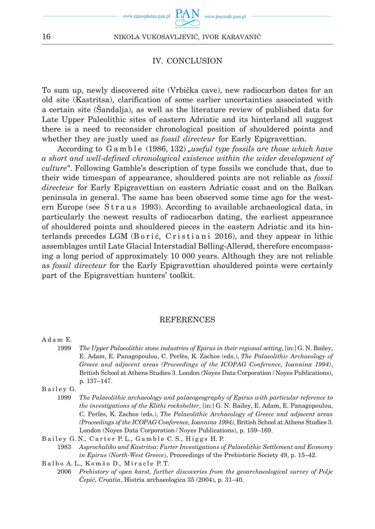

www.journals.pan.p

## IV. Conclusion

To sum up, newly discovered site (Vrbička cave), new radiocarbon dates for an old site (Kastritsa), clarification of some earlier uncertainties associated with a certain site (Šandalja), as well as the literature review of published data for Late Upper Paleolithic sites of eastern Adriatic and its hinterland all suggest there is a need to reconsider chronological position of shouldered points and whether they are justly used as *fossil directeur* for Early Epigravettian.

According to G a m b l e (1986, 132) *was ful type fossils are those which have a short and well-defined chronological existence within the wider development of culture"*. Following Gamble's description of type fossils we conclude that, due to their wide timespan of appearance, shouldered points are not reliable as *fossil directeur* for Early Epigravettian on eastern Adriatic coast and on the Balkan peninsula in general. The same has been observed some time ago for the western Europe (see Straus 1993). According to available archaeological data, in particularly the newest results of radiocarbon dating, the earliest appearance of shouldered points and shouldered pieces in the eastern Adriatic and its hinterlands precedes LGM  $(B \text{ori} \varepsilon, C \text{ristian} \varepsilon)$  2016), and they appear in lithic assemblages until Late Glacial Interstadial Bølling-Allerød, therefore encompassing a long period of approximately 10 000 years. Although they are not reliable as *fossil directeur* for the Early Epigravettian shouldered points were certainly part of the Epigravettian hunters' toolkit.

## REFERENCES

A d a m E.

1999 *The Upper Palaeolithic stone industries of Epirus in their regional setting*, [in:] G. N. Bailey, E. Adam, E. Panagopoulou, C. Perlès, K. Zachos (eds.), *The Palaeolithic Archaeology of Greece and adjacent areas (Proceedings of the ICOPAG Conference, Ioannina 1994)*, British School at Athens Studies 3. London (Noyes Data Corporation / Noyes Publications), p. 137–147.

Bailey G.

- 1999 *The Palaeolithic archaeology and palaeogeography of Epirus with particular reference to the investigations of the Klithi rockshelter*, [in:] G. N. Bailey, E. Adam, E. Panagopoulou, C. Perlès, K. Zachos (eds.), *The Palaeolithic Archaeology of Greece and adjacent areas (Proceedings of the ICOPAG Conference, Ioannina 1994)*, British School at Athens Studies 3. London (Noyes Data Corporation / Noyes Publications), p. 159–169.
- Bailey G. N., Carter P. L., Gamble C. S., Higgs H. P.

1983 *Asprochaliko and Kastritsa: Furter Investigations of Palaeolithic Settlement and Economy in Epirus (North-West Greece)*, Proceedings of the Prehistoric Society 49, p. 15–42.

Balbo A. L., Komšo D., Miracle P. T.

2006 *Prehistory of open karst, further discoveries from the geoarchaeological survey of Polje Čepić, Croatia*, Histria archaeologica 35 (2004), p. 31–40.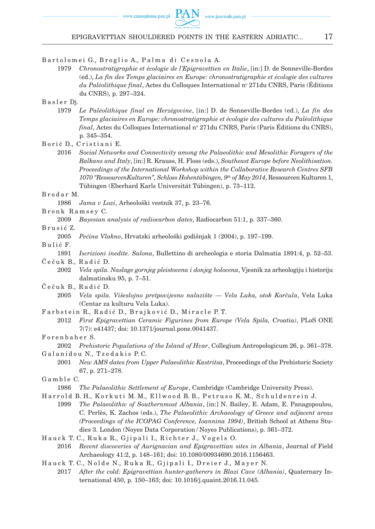Bartolomei G., Broglio A., Palma di Cesnola A.

1979 *Chronostratigraphie et écologie de l'Epigravettien en Italie*, [in:] D. de Sonneville-Bordes (ed.), *La fin des Temps glaciaires en Europe: chronostratigraphie et écologie des cultures du Paléolithique final*, Actes du Colloques International nº 271du CNRS, Paris (Editions du CNRS), p. 297–324.

Basler Dj.

1979 *Le Paléolithique final en Herzégovine*, [in:] D. de Sonneville-Bordes (ed.), *La fin des Temps glaciaires en Europe: chronostratigraphie et écologie des cultures du Paléolithique final*, Actes du Colloques International nº 271du CNRS, Paris (Paris Editions du CNRS), p. 345–354.

Borić D., Cristiani E.

2016 *Social Networks and Connectivity among the Palaeolithic and Mesolithic Foragers of the Balkans and Italy*, [in:] R. Krauss, H. Floss (eds.), *Southeast Europe before Neolithisation. Proceedings of the International Workshop within the Collaborative Research Centres SFB 1070 "RessourcenKulturen", Schloss Hohentübingen, 9th of May 2014*, Ressourcen Kulturen 1, Tübingen (Eberhard Karls Universität Tübingen), p. 73–112.

B r o d a r M.

1986 *Jama v Lozi*, Arheološki vestnik 37, p. 23–76.

B r o n k R a m s e y C.

2009 *Bayesian analysis of radiocarbon dates*, Radiocarbon 51:1, p. 337–360.

B r u s i ć Z.

2005 *Pećina Vlakno*, Hrvatski arheološki godišnjak 1 (2004), p. 197–199.

Bulić F.

- 1891 *Iscrizioni inedite. Salona*, Bullettino di archeologia e storia Dalmatia 1891:4, p. 52–53. Čečuk B., Radić D.
	- 2002 *Vela spila. Naslage gornjeg pleistocena i donjeg holocena*, Vjesnik za arheologiju i historiju dalmatinsku 95, p. 7–51.
- Čečuk B., Radić D.
	- 2005 *Vela spila. Višeslojno pretpovijesno nalazište Vela Luka, otok Korčula*, Vela Luka (Centar za kulturu Vela Luka).
- Farbstein R., Radić D., Brajković D., Miracle P.T.
	- 2012 *First Epigravettian Ceramic Figurines from Europe (Vela Spila, Croatia)*, PLoS ONE 7(7): e41437; doi: 10.1371/journal.pone.0041437.

Forenbaher S.

2002 *Prehistoric Populations of the Island of Hvar*, Collegium Antropologicum 26, p. 361–378. Galanidou N., Tzedakis P.C.

2001 *New AMS dates from Upper Palaeolithic Kastritsa*, Proceedings of the Prehistoric Society 67, p. 271–278.

Gamble C.

- 1986 *The Palaeolithic Settlement of Europe*, Cambridge (Cambridge University Press).
- Harrold B. H., Korkuti M. M., Ellwood B. B., Petruso K. M., Schuldenrein J.
	- 1999 *The Palaeolithic of Southernmost Albania*, [in:] N. Bailey, E. Adam, E. Panagopoulou, C. Perlès, K. Zachos (eds.), *The Palaeolithic Archaeology of Greece and adjacent areas (Proceedings of the ICOPAG Conference, Ioannina 1994)*, British School at Athens Studies 3. London (Noyes Data Corporation / Noyes Publications), p. 361–372.
- Hauck T. C., Ruka R., Gjipali I., Richter J., Vogels O.
	- 2016 *Recent discoveries of Aurignacian and Epigravettian sites in Albania*, Journal of Field Archaeology 41:2, p. 148–161; doi: 10.1080/00934690.2016.1156463.
- Hauck T. C., Nolde N., Ruka R., Gjipali I., Dreier J., Mayer N.
	- 2017 *After the cold: Epigravettian hunter-gatherers in Blazi Cave (Albania)*, Quaternary International 450, p. 150–163; doi: 10.1016/j.quaint.2016.11.045.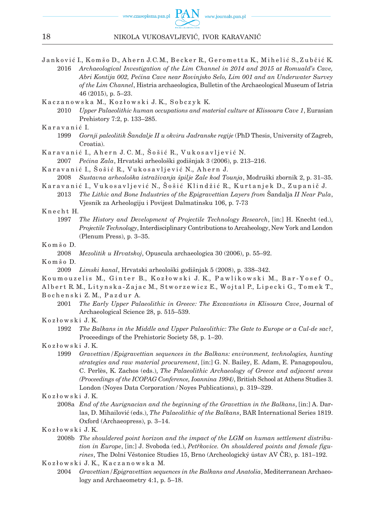www.journals.pan.pl

- Janković I., Komšo D., Ahern J.C.M., Becker R., Gerometta K., Mihelić S., Zubčić K. 2016 *Archaeological Investigation of the Lim Channel in 2014 and 2015 at Romuald's Cave, Abri Kontija 002, Pećina Cave near Rovinjsko Selo, Lim 001 and an Underwater Survey of the Lim Channel*, Histria archaeologica, Bulletin of the Archaeological Museum of Istria 46 (2015), p. 5–23.
- Kaczanowska M., Kozłowski J.K., Sobczyk K.
	- 2010 *Upper Palaeolithic human occupations and material culture at Klissoura Cave 1*, Eurasian Prehistory 7:2, p. 133–285.

#### K aravanić I.

- 1999 *Gornji paleolitik Šandalje II u okviru Jadranske regije* (PhD Thesis, University of Zagreb, Croatia).
- Karavanić I., Ahern J. C. M., Šošić R., Vukosavljević N.
	- 2007 *Pećina Zala*, Hrvatski arheološki godišnjak 3 (2006), p. 213–216.
- Karavanić I., Šošić R., Vukosavljević N., Ahern J.
- 2008 *Sustavna arheološka istraživanja špilje Zale kod Tounja*, Modruški zbornik 2, p. 31–35. Karavanić I., Vukosavljević N., Šošić Klindžić R., Kurtanjek D., Zupanič J.
- 2013 *The Lithic and Bone Industries of the Epigravettian Layers from* Šandalja *II Near Pula*, Vjesnik za Arheologiju i Povijest Dalmatinsku 106, p. 7-73

#### K n e c h t H.

1997 *The History and Development of Projectile Technology Research*, [in:] H. Knecht (ed.), *Projectile Technology*, Interdisciplinary Contributions to Arcaheology, New York and London (Plenum Press), p. 3–35.

#### K o m š o D.

- 2008 *Mezolitik u Hrvatskoj*, Opuscula archaeologica 30 (2006), p. 55–92.
- K o m š o D.
	- 2009 *Limski kanal*, Hrvatski arheološki godišnjak 5 (2008), p. 338–342.
- Koumouzelis M., Ginter B., Kozłowski J. K., Pawlikowski M., Bar-Yosef O., Albert R. M., Litynska-Zajac M., Stworzewicz E., Wojtal P., Lipecki G., Tomek T.,
- B o c h e n s k i Z. M., P a z d u r A.
	- 2001 *The Early Upper Palaeolithic in Greece: The Excavations in Klisoura Cave*, Journal of Archaeological Science 28, p. 515–539.
- Kozłowski J.K.
	- 1992 *The Balkans in the Middle and Upper Palaeolithic: The Gate to Europe or a Cul-de sac?*, Proceedings of the Prehistoric Society 58, p. 1–20.
- K o z ł o w s k i J. K.
	- 1999 *Gravettian/Epigravettian sequences in the Balkans: environment, technologies, hunting strategies and raw material procurement*, [in:] G. N. Bailey, E. Adam, E. Panagopoulou, C. Perlès, K. Zachos (eds.), *The Palaeolithic Archaeology of Greece and adjacent areas (Proceedings of the ICOPAG Conference, Ioannina 1994)*, British School at Athens Studies 3. London (Noyes Data Corporation / Noyes Publications), p. 319–329.
- K o z ł o w s k i J. K.
	- 2008a *End of the Aurignacian and the beginning of the Gravettian in the Balkans*, [in:] A. Darlas, D. Mihailović (eds.), *The Palaeolithic of the Balkans*, BAR International Series 1819. Oxford (Archaeopress), p. 3–14.
- K o z ł o w s k i J. K.
	- 2008b *The shouldered point horizon and the impact of the LGM on human settlement distribution in Europe*, [in:] J. Svoboda (ed.), *Petřkovice. On shouldered points and female figu rines*, The Dolní Věstonice Studies 15, Brno (Archeologický ústav AV ČR), p. 181–192.
- K o z ł o w s k i J. K., K a c z a n o w s k a M.
	- 2004 *Gravettian/Epigravettian sequences in the Balkans and Anatolia*, Mediterranean Archaeology and Archaeometry 4:1, p. 5–18.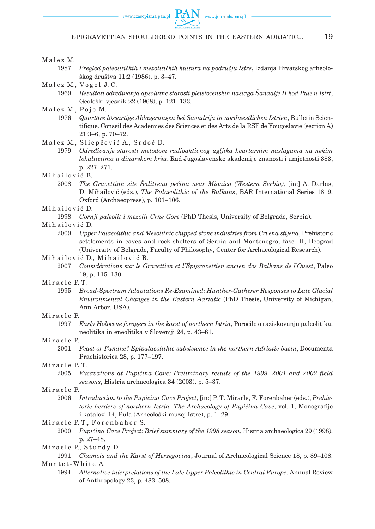### EPIGRAVETTIAN SHOULDERED POINTS IN THE EASTERN ADRIATIC... 19

#### Malez M.

- 1987 *Pregled paleolitičkih i mezolitičkih kultura na području Istre*, Izdanja Hrvatskog arheološkog društva 11:2 (1986), p. 3–47.
- Malez M., Vogel J.C.
	- 1969 *Rezultati određivanja apsolutne starosti pleistocenskih naslaga Šandalje II kod Pule u Istri*, Geološki vjesnik 22 (1968), p. 121–133.

#### Malez M., Poje M.

- 1976 *Quartäre lössartige Ablagerungen bei Savudrija in nordwestlichen Istrien*, Bulletin Scientifique. Conseil des Academies des Sciences et des Arts de la RSF de Yougoslavie (section A) 21:3–6, p. 70–72.
- Malez M., Sliepčević A., Srdoč D.
	- 1979 *Određivanje starosti metodom radioaktivnog ugljika kvartarnim naslagama na nekim lokalitetima u dinarskom kršu*, Rad Jugoslavenske akademije znanosti i umjetnosti 383, p. 227–271.
- Mihailović B.
	- 2008 *The Gravettian site Šalitrena pećina near Mionica (Western Serbia)*, [in:] A. Darlas, D. Mihailović (eds.), *The Palaeolithic of the Balkans*, BAR International Series 1819, Oxford (Archaeopress), p. 101–106.
- Mihailović D.
	- 1998 *Gornji paleolit i mezolit Crne Gore* (PhD Thesis, University of Belgrade, Serbia).
- Mihailović D.
	- 2009 *Upper Palaeolithic and Mesolithic chipped stone industries from Crvena stijena*, Prehistoric settlements in caves and rock-shelters of Serbia and Montenegro, fasc. II, Beograd (University of Belgrade, Faculty of Philosophy, Center for Archaeological Research).
- Mihailović D., Mihailović B.
	- 2007 *Considérations sur le Gravettien et l'Épigravettien ancien des Balkans de l'Ouest*, Paleo 19, p. 115–130.
- M iracle P. T.
	- 1995 *Broad-Spectrum Adaptations Re-Examined: Hunther-Gatherer Responses to Late Glacial Environmental Changes in the Eastern Adriatic* (PhD Thesis, University of Michigan, Ann Arbor, USA).

#### Miracle P.

1997 *Early Holocene foragers in the karst of northern Istria*, Poročilo o raziskovanju paleolitika, neolitika in eneolitika v Sloveniji 24, p. 43–61.

#### Miracle P.

2001 *Feast or Famine? Epipalaeolithic subsistence in the northern Adriatic basin*, Documenta Praehistorica 28, p. 177–197.

#### Miracle P.T.

2005 *Excavations at Pupićina Cave: Preliminary results of the 1999, 2001 and 2002 field seasons*, Histria archaeologica 34 (2003), p. 5–37.

#### Miracle P.

- 2006 *Introduction to the Pupićina Cave Project*, [in:] P. T. Miracle, F. Forenbaher (eds.), *Prehistoric herders of northern Istria. The Archaeology of Pupićina Cave*, vol. 1, Monografije i katalozi 14, Pula (Arheološki muzej Istre), p. 1–29.
- Miracle P.T., Forenbaher S.
	- 2000 *Pupićina Cave Project: Brief summary of the 1998 season*, Histria archaeologica 29 (1998), p. 27–48.

Miracle P., Sturdy D.

1994 *Alternative interpretations of the Late Upper Paleolithic in Central Europe*, Annual Review of Anthropology 23, p. 483–508.

<sup>1991</sup> *Chamois and the Karst of Herzegovina*, Journal of Archaeological Science 18, p. 89–108. Montet-White A.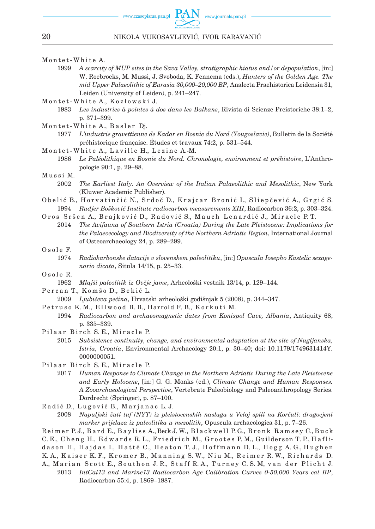#### Montet-White A.

- 1999 *A scarcity of MUP sites in the Sava Valley, stratigraphic hiatus and/or depopulation*, [in:] W. Roebroeks, M. Mussi, J. Svoboda, K. Fennema (eds.), *Hunters of the Golden Age. The mid Upper Palaeolithic of Eurasia 30,000–20,000 BP*, Analecta Praehistorica Leidensia 31, Leiden (University of Leiden), p. 241–247.
- Montet-White A., Kozłowski J.
	- 1983 *Les industries à pointes à dos dans les Balkans*, Rivista di Scienze Preistoriche 38:1–2, p. 371–399.
- Montet-White A., Basler Dj.
	- 1977 *L'industrie gravettienne de Kadar en Bosnie du Nord (Yougoslavie)*, Bulletin de la Société préhistorique française. Études et travaux 74:2, p. 531–544.
- Montet-White A., Laville H., Lezine A.-M.
	- 1986 *Le Paléolithique en Bosnie du Nord. Chronologie, environment et préhistoire*, L'Anthropologie 90:1, p. 29–88.
- Mussi M.
	- 2002 *The Earliest Italy. An Overview of the Italian Palaeolithic and Mesolithic*, New York (Kluwer Academic Publisher).
- Obelić B., Horvatinčić N., Srdoč D., Krajcar Bronić I., Sliepčević A., Grgić S. 1994 *Rudjer Bošković Institute radiocarbon measurements XIII*, Radiocarbon 36:2, p. 303–324.
- Oros Sršen A., Brajković D., Radović S., Mauch Lenardić J., Miracle P.T.
	- 2014 *The Avifauna of Southern Istria (Croatia) During the Late Pleistocene: Implications for the Palaeoecology and Biodiversity of the Northern Adriatic Region*, International Journal of Osteoarchaeology 24, p. 289–299.

#### Osole F.

- 1974 *Radiokarbonske datacije v slovenskem paleolitiku*, [in:] *Opuscula Iosepho Kastelic sexage nario dicata*, Situla 14/15, p. 25–33.
- Osole R.
	- 1962 *Mlajši paleolitik iz Ovčje jame*, Arheološki vestnik 13/14, p. 129–144.
- Percan T., Komšo D., Bekić L.
	- 2009 *Ljubićeva pećina*, Hrvatski arheološki godišnjak 5 (2008), p. 344–347.
- Petruso K. M., Ellwood B. B., Harrold F. B., Korkuti M.
	- 1994 *Radiocarbon and archaeomagnetic dates from Konispol Cave, Albania*, Antiquity 68, p. 335–339.
- Pilaar Birch S. E., Miracle P.
	- 2015 *Subsistence continuity, change, and environmental adaptation at the site of Nugljanska, Istria, Croatia*, Environmental Archaeology 20:1, p. 30–40; doi: 10.1179/1749631414Y. 0000000051.
- Pilaar Birch S. E., Miracle P.
	- 2017 *Human Response to Climate Change in the Northern Adriatic During the Late Pleistocene and Early Holocene*, [in:] G. G. Monks (ed.), *Climate Change and Human Responses. A Zooarchaeological Perspective*, Vertebrate Paleobiology and Paleoanthropology Series. Dordrecht (Springer), p. 87–100.

Radić D., Lugović B., Marjanac L.J.

Reimer P.J., Bard E., Bayliss A., Beck J. W., Blackwell P.G., Bronk Ramsey C., Buck

C. E., Cheng H., Edwards R. L., Friedrich M., Grootes P. M., Guilderson T. P., Hafli-

dason H., Hajdas I., Hatté C., Heaton T. J., Hoffmann D. L., Hogg A. G., Hughen

K. A., Kaiser K. F., Kromer B., Manning S. W., Niu M., Reimer R. W., Richards D.

A., Marian Scott E., Southon J. R., Staff R. A., Turney C. S. M, van der Plicht J.

2013 *IntCal13 and Marine13 Radiocarbon Age Calibration Curves 0-50,000 Years cal BP*, Radiocarbon 55:4, p. 1869–1887.

<sup>2008</sup> *Napuljski žuti tuf (NYT) iz pleistocenskih naslaga u Veloj spili na Korčuli: dragocjeni marker prijelaza iz paleolitika u mezolitik*, Opuscula archaeologica 31, p. 7–26.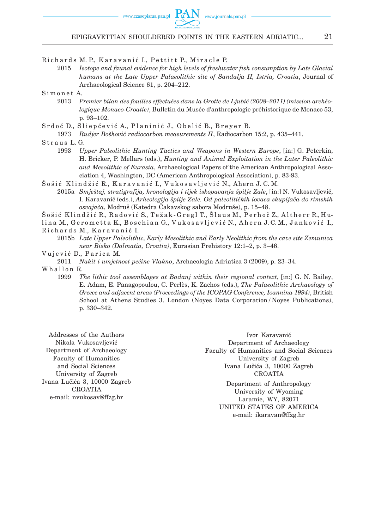Richards M. P., Karavanić I., Pettitt P., Miracle P.

2015 *Isotope and faunal evidence for high levels of freshwater fish consumption by Late Glacial humans at the Late Upper Palaeolithic site of Sandalja II, Istria, Croatia*, Journal of Archaeological Science 61, p. 204–212.

Simonet A.

- 2013 *Premier bilan des fouilles effectuées dans la Grotte de Ljubić (2008–2011) (mission archéologique Monaco-Croatie)*, Bulletin du Musée d'anthropologie préhistorique de Monaco 53, p. 93–102.
- Srdoč D., Sliepčević A., Planinić J., Obelić B., Breyer B.
	- 1973 *Rudjer Bošković radiocarbon measurements II*, Radiocarbon 15:2, p. 435–441.
- Straus L.G.
	- 1993 *Upper Paleolithic Hunting Tactics and Weapons in Western Europe*, [in:] G. Peterkin, H. Bricker, P. Mellars (eds.), *Hunting and Animal Exploitation in the Later Paleolithic and Mesolithic of Eurasia*, Archaeological Papers of the American Anthropological Association 4, Washington, DC (American Anthropological Association), p. 83-93.
- Šošić Klindžić R., Karavanić I., Vukosavljević N., Ahern J.C.M. 2015a *Smještaj, stratigrafija, kronologija i tijek iskopavanja špilje Zale*, [in:] N. Vukosavljević,
	- I. Karavanić (eds.), *Arheologija špilje Zale. Od paleolitičkih lovaca skupljača do rimskih osvajača*, Modruš (Katedra Čakavskog sabora Modruše), p. 15–48.
- Šošić Klindžić R., Radović S., Težak-Gregl T., Šlaus M., Perhoč Z., Altherr R., Hu-
- lina M., Gerometta K., Boschian G., Vukosavljević N., Ahern J.C.M., Janković I., Richards M., Karavanić I.
- 2015b *Late Upper Paleolithic, Early Mesolithic and Early Neolithic from the cave site Zemunica near Bisko (Dalmatia, Croatia)*, Eurasian Prehistory 12:1–2, p. 3–46.

Vujević D., Parica M.

2011 *Nakit i umjetnost pećine Vlakno*, Archaeologia Adriatica 3 (2009), p. 23–34.

Whallon R.

1999 *The lithic tool assemblages at Badanj within their regional context*, [in:] G. N. Bailey, E. Adam, E. Panagopoulou, C. Perlès, K. Zachos (eds.), *The Palaeolithic Archaeology of Greece and adjacent areas (Proceedings of the ICOPAG Conference, Ioannina 1994)*, British School at Athens Studies 3. London (Noyes Data Corporation / Noyes Publications), p. 330–342.

Addresses of the Authors Nikola Vukosavljević Department of Archaeology Faculty of Humanities and Social Sciences University of Zagreb Ivana Lučića 3, 10000 Zagreb **CROATIA** e-mail: nvukosav@ffzg.hr

Ivor Karavanić Department of Archaeology Faculty of Humanities and Social Sciences University of Zagreb Ivana Lučića 3, 10000 Zagreb **CROATIA** 

> Department of Anthropology University of Wyoming Laramie, WY, 82071 United States of America e-mail: ikaravan@ffzg.hr